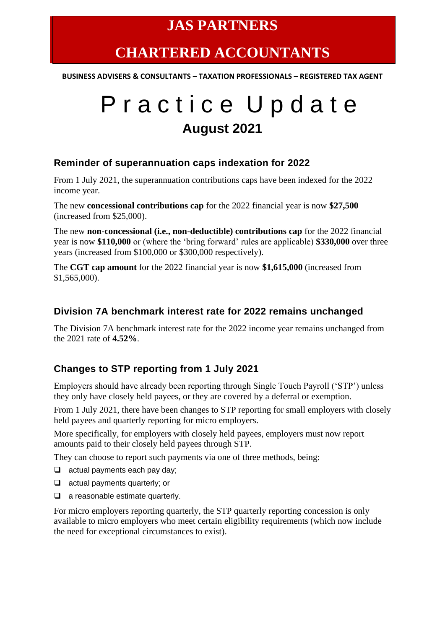### **JAS PARTNERS**

## **CHARTERED ACCOUNTANTS**

**BUSINESS ADVISERS & CONSULTANTS – TAXATION PROFESSIONALS – REGISTERED TAX AGENT**

# P r a c t i c e U p d a t e **August 2021**

#### **Reminder of superannuation caps indexation for 2022**

From 1 July 2021, the superannuation contributions caps have been indexed for the 2022 income year.

The new **concessional contributions cap** for the 2022 financial year is now **\$27,500** (increased from \$25,000).

The new **non-concessional (i.e., non-deductible) contributions cap** for the 2022 financial year is now **\$110,000** or (where the 'bring forward' rules are applicable) **\$330,000** over three years (increased from \$100,000 or \$300,000 respectively).

The **CGT cap amount** for the 2022 financial year is now **\$1,615,000** (increased from \$1,565,000).

#### **Division 7A benchmark interest rate for 2022 remains unchanged**

The Division 7A benchmark interest rate for the 2022 income year remains unchanged from the 2021 rate of **4.52%**.

#### **Changes to STP reporting from 1 July 2021**

Employers should have already been reporting through Single Touch Payroll ('STP') unless they only have closely held payees, or they are covered by a deferral or exemption.

From 1 July 2021, there have been changes to STP reporting for small employers with closely held payees and quarterly reporting for micro employers.

More specifically, for employers with closely held payees, employers must now report amounts paid to their closely held payees through STP.

They can choose to report such payments via one of three methods, being:

- ❑ actual payments each pay day;
- ❑ actual payments quarterly; or
- ❑ a reasonable estimate quarterly.

For micro employers reporting quarterly, the STP quarterly reporting concession is only available to micro employers who meet certain eligibility requirements (which now include the need for exceptional circumstances to exist).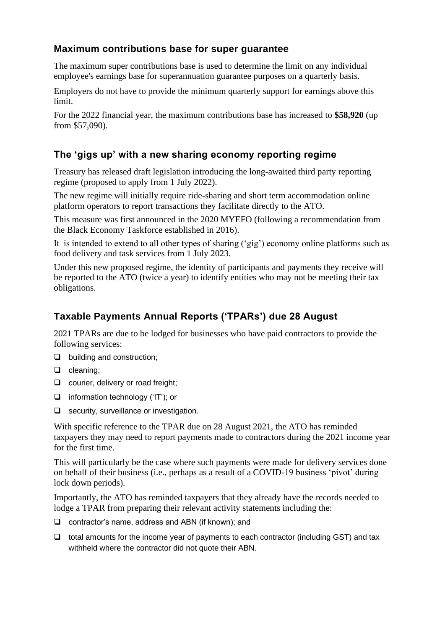#### **Maximum contributions base for super guarantee**

The maximum super contributions base is used to determine the limit on any individual employee's earnings base for superannuation guarantee purposes on a quarterly basis.

Employers do not have to provide the minimum quarterly support for earnings above this limit.

For the 2022 financial year, the maximum contributions base has increased to **\$58,920** (up from \$57,090).

#### **The 'gigs up' with a new sharing economy reporting regime**

Treasury has released draft legislation introducing the long-awaited third party reporting regime (proposed to apply from 1 July 2022).

The new regime will initially require ride-sharing and short term accommodation online platform operators to report transactions they facilitate directly to the ATO.

This measure was first announced in the 2020 MYEFO (following a recommendation from the Black Economy Taskforce established in 2016).

It is intended to extend to all other types of sharing ('gig') economy online platforms such as food delivery and task services from 1 July 2023.

Under this new proposed regime, the identity of participants and payments they receive will be reported to the ATO (twice a year) to identify entities who may not be meeting their tax obligations.

#### **Taxable Payments Annual Reports ('TPARs') due 28 August**

2021 TPARs are due to be lodged for businesses who have paid contractors to provide the following services:

- ❑ building and construction;
- ❑ cleaning;
- ❑ courier, delivery or road freight;
- ❑ information technology ('IT'); or
- ❑ security, surveillance or investigation.

With specific reference to the TPAR due on 28 August 2021, the ATO has reminded taxpayers they may need to report payments made to contractors during the 2021 income year for the first time.

This will particularly be the case where such payments were made for delivery services done on behalf of their business (i.e., perhaps as a result of a COVID-19 business 'pivot' during lock down periods).

Importantly, the ATO has reminded taxpayers that they already have the records needed to lodge a TPAR from preparing their relevant activity statements including the:

- ❑ contractor's name, address and ABN (if known); and
- ❑ total amounts for the income year of payments to each contractor (including GST) and tax withheld where the contractor did not quote their ABN.